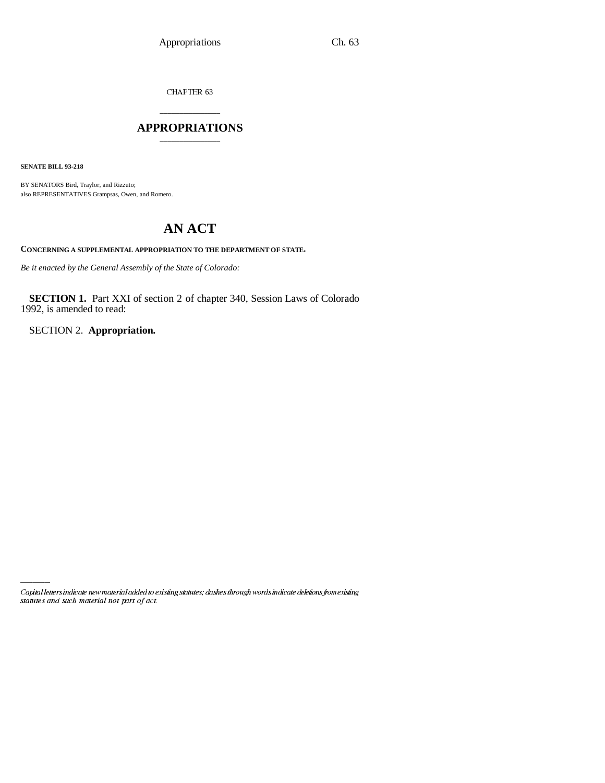CHAPTER 63

## \_\_\_\_\_\_\_\_\_\_\_\_\_\_\_ **APPROPRIATIONS** \_\_\_\_\_\_\_\_\_\_\_\_\_\_\_

**SENATE BILL 93-218**

BY SENATORS Bird, Traylor, and Rizzuto; also REPRESENTATIVES Grampsas, Owen, and Romero.

## **AN ACT**

**CONCERNING A SUPPLEMENTAL APPROPRIATION TO THE DEPARTMENT OF STATE.**

*Be it enacted by the General Assembly of the State of Colorado:*

**SECTION 1.** Part XXI of section 2 of chapter 340, Session Laws of Colorado 1992, is amended to read:

SECTION 2. **Appropriation.**

Capital letters indicate new material added to existing statutes; dashes through words indicate deletions from existing statutes and such material not part of act.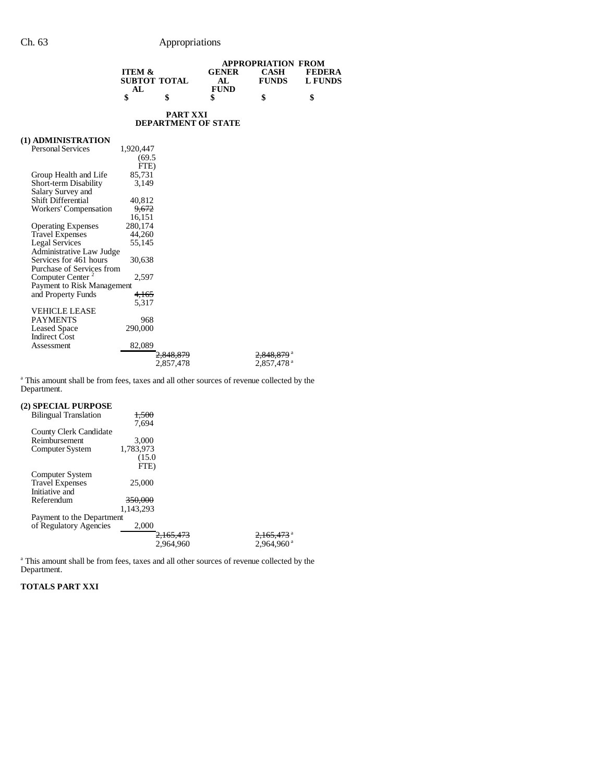|                              |                                          |                      | <b>APPROPRIATION FROM</b>  |                             |                                 |
|------------------------------|------------------------------------------|----------------------|----------------------------|-----------------------------|---------------------------------|
|                              | <b>ITEM &amp;</b><br><b>SUBTOT TOTAL</b> |                      | <b>GENER</b>               | <b>CASH</b><br><b>FUNDS</b> | <b>FEDERA</b><br><b>L FUNDS</b> |
|                              |                                          |                      | AL                         |                             |                                 |
|                              | AL                                       |                      | <b>FUND</b>                |                             |                                 |
|                              | \$                                       | \$                   | \$                         | \$                          | \$                              |
|                              |                                          | <b>PART XXI</b>      |                            |                             |                                 |
|                              |                                          |                      | <b>DEPARTMENT OF STATE</b> |                             |                                 |
| (1) ADMINISTRATION           |                                          |                      |                            |                             |                                 |
| <b>Personal Services</b>     | 1,920,447                                |                      |                            |                             |                                 |
|                              | (69.5)                                   |                      |                            |                             |                                 |
|                              | FTE)                                     |                      |                            |                             |                                 |
| Group Health and Life        | 85,731                                   |                      |                            |                             |                                 |
| Short-term Disability        | 3,149                                    |                      |                            |                             |                                 |
| Salary Survey and            |                                          |                      |                            |                             |                                 |
| <b>Shift Differential</b>    | 40,812                                   |                      |                            |                             |                                 |
| Workers' Compensation        | 9,672                                    |                      |                            |                             |                                 |
|                              | 16,151                                   |                      |                            |                             |                                 |
| <b>Operating Expenses</b>    | 280,174                                  |                      |                            |                             |                                 |
| <b>Travel Expenses</b>       | 44,260                                   |                      |                            |                             |                                 |
| <b>Legal Services</b>        | 55.145                                   |                      |                            |                             |                                 |
| Administrative Law Judge     |                                          |                      |                            |                             |                                 |
| Services for 461 hours       | 30,638                                   |                      |                            |                             |                                 |
| Purchase of Services from    |                                          |                      |                            |                             |                                 |
| Computer Center <sup>2</sup> | 2,597                                    |                      |                            |                             |                                 |
| Payment to Risk Management   |                                          |                      |                            |                             |                                 |
| and Property Funds           | 4,165                                    |                      |                            |                             |                                 |
|                              | 5,317                                    |                      |                            |                             |                                 |
| VEHICLE LEASE                |                                          |                      |                            |                             |                                 |
| <b>PAYMENTS</b>              | 968                                      |                      |                            |                             |                                 |
| <b>Leased Space</b>          | 290,000                                  |                      |                            |                             |                                 |
| <b>Indirect Cost</b>         |                                          |                      |                            |                             |                                 |
| Assessment                   | 82,089                                   |                      |                            |                             |                                 |
|                              |                                          | <del>2.848.879</del> |                            | 2,848.879 <sup>a</sup>      |                                 |
|                              |                                          | 2,857,478            |                            | 2,857,478 <sup>a</sup>      |                                 |
|                              |                                          |                      |                            |                             |                                 |

<sup>a</sup> This amount shall be from fees, taxes and all other sources of revenue collected by the Department.

## **(2) SPECIAL PURPOSE**

| <b>Bilingual Translation</b> | 1.500                |                          |
|------------------------------|----------------------|--------------------------|
|                              | 7.694                |                          |
| County Clerk Candidate       |                      |                          |
| Reimbursement                | 3.000                |                          |
| Computer System              | 1,783,973            |                          |
|                              | (15.0)               |                          |
|                              | FTE)                 |                          |
| Computer System              |                      |                          |
| <b>Travel Expenses</b>       | 25,000               |                          |
| Initiative and               |                      |                          |
| Referendum                   | <del>350,000</del>   |                          |
|                              | 1.143.293            |                          |
| Payment to the Department    |                      |                          |
| of Regulatory Agencies       | 2,000                |                          |
|                              | <del>2.165.473</del> | $2,165,473$ <sup>a</sup> |
|                              | 2.964.960            | $2.964.960$ <sup>a</sup> |
|                              |                      |                          |

<sup>a</sup> This amount shall be from fees, taxes and all other sources of revenue collected by the Department.

## **TOTALS PART XXI**